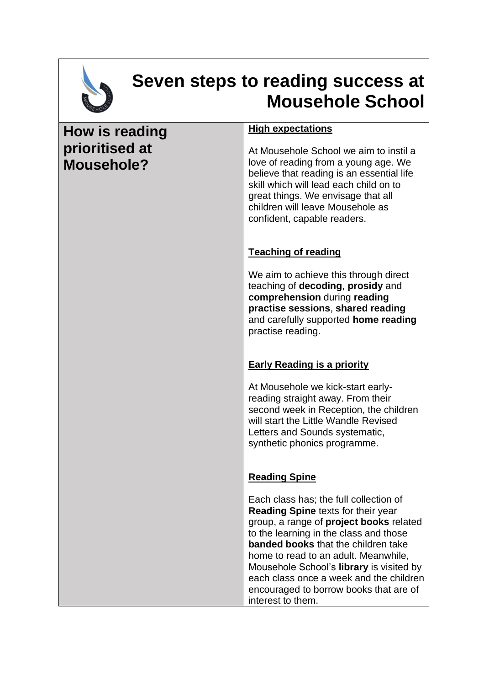

## **Seven steps to reading success at Mousehole School**

## **How is reading prioritised at Mousehole? High expectations**  At Mousehole School we aim to instil a love of reading from a young age. We believe that reading is an essential life skill which will lead each child on to great things. We envisage that all children will leave Mousehole as confident, capable readers. **Teaching of reading**  We aim to achieve this through direct teaching of **decoding**, **prosidy** and **comprehension** during **reading practise sessions**, **shared reading** and carefully supported **home reading** practise reading. **Early Reading is a priority** At Mousehole we kick-start earlyreading straight away. From their second week in Reception, the children will start the Little Wandle Revised Letters and Sounds systematic, synthetic phonics programme. **Reading Spine**  Each class has; the full collection of **Reading Spine** texts for their year group, a range of **project books** related to the learning in the class and those **banded books** that the children take home to read to an adult. Meanwhile, Mousehole School's **library** is visited by each class once a week and the children

encouraged to borrow books that are of

interest to them.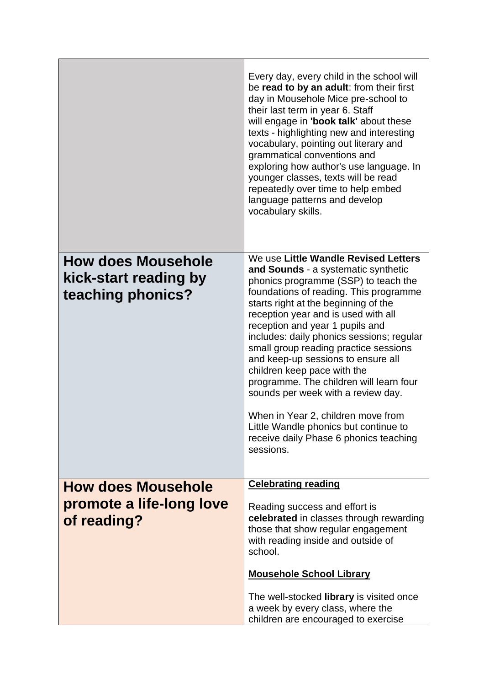|                                            | Every day, every child in the school will<br>be read to by an adult: from their first<br>day in Mousehole Mice pre-school to<br>their last term in year 6. Staff<br>will engage in 'book talk' about these<br>texts - highlighting new and interesting<br>vocabulary, pointing out literary and<br>grammatical conventions and<br>exploring how author's use language. In<br>younger classes, texts will be read<br>repeatedly over time to help embed<br>language patterns and develop<br>vocabulary skills. |
|--------------------------------------------|---------------------------------------------------------------------------------------------------------------------------------------------------------------------------------------------------------------------------------------------------------------------------------------------------------------------------------------------------------------------------------------------------------------------------------------------------------------------------------------------------------------|
| <b>How does Mousehole</b>                  | We use Little Wandle Revised Letters<br>and Sounds - a systematic synthetic                                                                                                                                                                                                                                                                                                                                                                                                                                   |
| kick-start reading by<br>teaching phonics? | phonics programme (SSP) to teach the<br>foundations of reading. This programme                                                                                                                                                                                                                                                                                                                                                                                                                                |
|                                            | starts right at the beginning of the<br>reception year and is used with all<br>reception and year 1 pupils and                                                                                                                                                                                                                                                                                                                                                                                                |
|                                            | includes: daily phonics sessions; regular<br>small group reading practice sessions                                                                                                                                                                                                                                                                                                                                                                                                                            |
|                                            | and keep-up sessions to ensure all<br>children keep pace with the                                                                                                                                                                                                                                                                                                                                                                                                                                             |
|                                            | programme. The children will learn four<br>sounds per week with a review day.                                                                                                                                                                                                                                                                                                                                                                                                                                 |
|                                            | When in Year 2, children move from<br>Little Wandle phonics but continue to                                                                                                                                                                                                                                                                                                                                                                                                                                   |
|                                            | receive daily Phase 6 phonics teaching<br>sessions.                                                                                                                                                                                                                                                                                                                                                                                                                                                           |
|                                            |                                                                                                                                                                                                                                                                                                                                                                                                                                                                                                               |
| <b>How does Mousehole</b>                  | <b>Celebrating reading</b>                                                                                                                                                                                                                                                                                                                                                                                                                                                                                    |
| promote a life-long love<br>of reading?    | Reading success and effort is<br>celebrated in classes through rewarding                                                                                                                                                                                                                                                                                                                                                                                                                                      |
|                                            | those that show regular engagement<br>with reading inside and outside of                                                                                                                                                                                                                                                                                                                                                                                                                                      |
|                                            | school.                                                                                                                                                                                                                                                                                                                                                                                                                                                                                                       |
|                                            | <b>Mousehole School Library</b>                                                                                                                                                                                                                                                                                                                                                                                                                                                                               |
|                                            | The well-stocked library is visited once<br>a week by every class, where the                                                                                                                                                                                                                                                                                                                                                                                                                                  |
|                                            | children are encouraged to exercise                                                                                                                                                                                                                                                                                                                                                                                                                                                                           |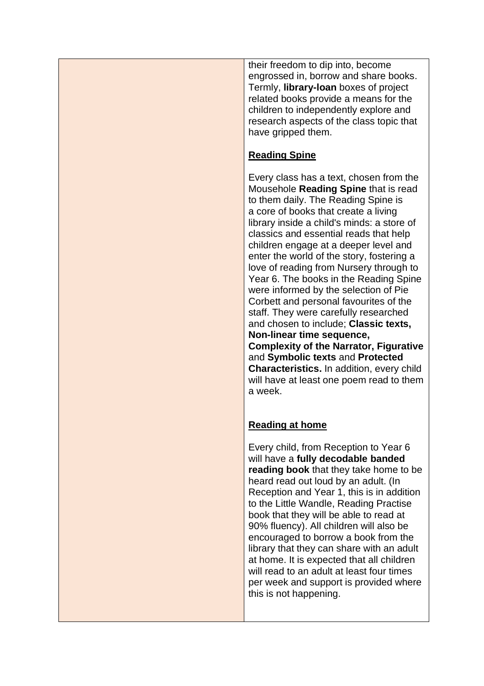their freedom to dip into, become engrossed in, borrow and share books. Termly, **library-loan** boxes of project related books provide a means for the children to independently explore and research aspects of the class topic that have gripped them.

## **Reading Spine**

Every class has a text, chosen from the Mousehole **Reading Spine** that is read to them daily. The Reading Spine is a core of books that create a living library inside a child's minds: a store of classics and essential reads that help children engage at a deeper level and enter the world of the story, fostering a love of reading from Nursery through to Year 6. The books in the Reading Spine were informed by the selection of Pie Corbett and personal favourites of the staff. They were carefully researched and chosen to include; **Classic texts, Non-linear time sequence, Complexity of the Narrator, Figurative** 

and **Symbolic texts** and **Protected Characteristics.** In addition, every child will have at least one poem read to them a week.

## **Reading at home**

Every child, from Reception to Year 6 will have a **fully decodable banded reading book** that they take home to be heard read out loud by an adult. (In Reception and Year 1, this is in addition to the Little Wandle, Reading Practise book that they will be able to read at 90% fluency). All children will also be encouraged to borrow a book from the library that they can share with an adult at home. It is expected that all children will read to an adult at least four times per week and support is provided where this is not happening.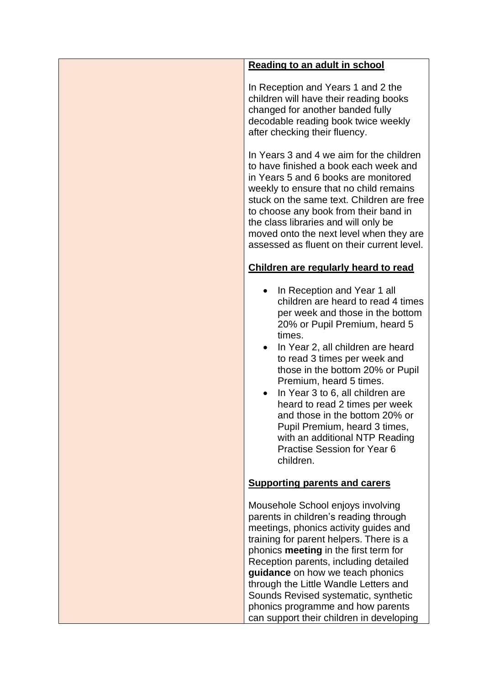| <b>Reading to an adult in school</b>                                                                                                                                                                                                                                                                                                                                                                                                                                                                               |
|--------------------------------------------------------------------------------------------------------------------------------------------------------------------------------------------------------------------------------------------------------------------------------------------------------------------------------------------------------------------------------------------------------------------------------------------------------------------------------------------------------------------|
| In Reception and Years 1 and 2 the<br>children will have their reading books<br>changed for another banded fully<br>decodable reading book twice weekly<br>after checking their fluency.                                                                                                                                                                                                                                                                                                                           |
| In Years 3 and 4 we aim for the children<br>to have finished a book each week and<br>in Years 5 and 6 books are monitored<br>weekly to ensure that no child remains<br>stuck on the same text. Children are free<br>to choose any book from their band in<br>the class libraries and will only be<br>moved onto the next level when they are<br>assessed as fluent on their current level.                                                                                                                         |
| Children are regularly heard to read                                                                                                                                                                                                                                                                                                                                                                                                                                                                               |
| In Reception and Year 1 all<br>children are heard to read 4 times<br>per week and those in the bottom<br>20% or Pupil Premium, heard 5<br>times.<br>In Year 2, all children are heard<br>to read 3 times per week and<br>those in the bottom 20% or Pupil<br>Premium, heard 5 times.<br>In Year 3 to 6, all children are<br>heard to read 2 times per week<br>and those in the bottom 20% or<br>Pupil Premium, heard 3 times,<br>with an additional NTP Reading<br><b>Practise Session for Year 6</b><br>children. |
| <b>Supporting parents and carers</b>                                                                                                                                                                                                                                                                                                                                                                                                                                                                               |
| Mousehole School enjoys involving<br>parents in children's reading through<br>meetings, phonics activity guides and<br>training for parent helpers. There is a<br>phonics meeting in the first term for<br>Reception parents, including detailed<br>guidance on how we teach phonics<br>through the Little Wandle Letters and<br>Sounds Revised systematic, synthetic<br>phonics programme and how parents<br>can support their children in developing                                                             |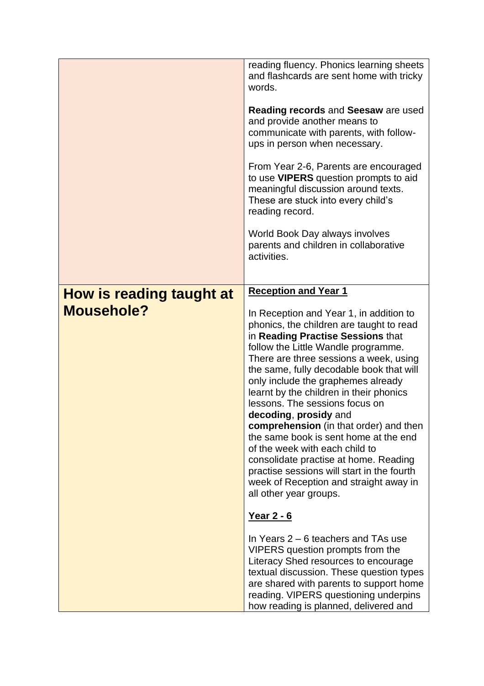|                                               | reading fluency. Phonics learning sheets<br>and flashcards are sent home with tricky<br>words.<br>Reading records and Seesaw are used<br>and provide another means to<br>communicate with parents, with follow-<br>ups in person when necessary.<br>From Year 2-6, Parents are encouraged<br>to use <b>VIPERS</b> question prompts to aid<br>meaningful discussion around texts.<br>These are stuck into every child's<br>reading record.<br>World Book Day always involves<br>parents and children in collaborative<br>activities.                                                                                                                                                                                                                                                                                                                                                                                                                                                                                                 |
|-----------------------------------------------|-------------------------------------------------------------------------------------------------------------------------------------------------------------------------------------------------------------------------------------------------------------------------------------------------------------------------------------------------------------------------------------------------------------------------------------------------------------------------------------------------------------------------------------------------------------------------------------------------------------------------------------------------------------------------------------------------------------------------------------------------------------------------------------------------------------------------------------------------------------------------------------------------------------------------------------------------------------------------------------------------------------------------------------|
| How is reading taught at<br><b>Mousehole?</b> | <b>Reception and Year 1</b><br>In Reception and Year 1, in addition to<br>phonics, the children are taught to read<br>in Reading Practise Sessions that<br>follow the Little Wandle programme.<br>There are three sessions a week, using<br>the same, fully decodable book that will<br>only include the graphemes already<br>learnt by the children in their phonics<br>lessons. The sessions focus on<br>decoding, prosidy and<br>comprehension (in that order) and then<br>the same book is sent home at the end<br>of the week with each child to<br>consolidate practise at home. Reading<br>practise sessions will start in the fourth<br>week of Reception and straight away in<br>all other year groups.<br><u>Year 2 - 6</u><br>In Years $2 - 6$ teachers and TAs use<br>VIPERS question prompts from the<br>Literacy Shed resources to encourage<br>textual discussion. These question types<br>are shared with parents to support home<br>reading. VIPERS questioning underpins<br>how reading is planned, delivered and |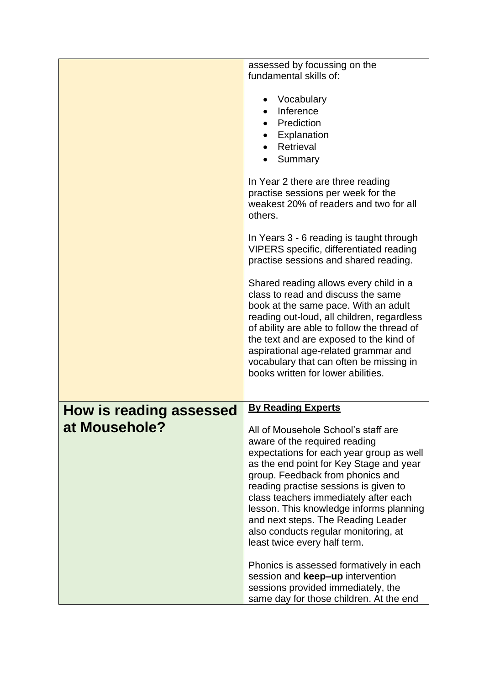|                                | assessed by focussing on the                |
|--------------------------------|---------------------------------------------|
|                                | fundamental skills of:                      |
|                                |                                             |
|                                | Vocabulary                                  |
|                                | Inference                                   |
|                                | Prediction                                  |
|                                | Explanation                                 |
|                                | Retrieval                                   |
|                                | Summary                                     |
|                                |                                             |
|                                | In Year 2 there are three reading           |
|                                | practise sessions per week for the          |
|                                | weakest 20% of readers and two for all      |
|                                | others.                                     |
|                                |                                             |
|                                | In Years 3 - 6 reading is taught through    |
|                                | VIPERS specific, differentiated reading     |
|                                | practise sessions and shared reading.       |
|                                |                                             |
|                                | Shared reading allows every child in a      |
|                                | class to read and discuss the same          |
|                                | book at the same pace. With an adult        |
|                                | reading out-loud, all children, regardless  |
|                                | of ability are able to follow the thread of |
|                                | the text and are exposed to the kind of     |
|                                | aspirational age-related grammar and        |
|                                | vocabulary that can often be missing in     |
|                                | books written for lower abilities.          |
|                                |                                             |
|                                | <b>By Reading Experts</b>                   |
| <b>How is reading assessed</b> |                                             |
| at Mousehole?                  | All of Mousehole School's staff are         |
|                                | aware of the required reading               |
|                                | expectations for each year group as well    |
|                                | as the end point for Key Stage and year     |
|                                | group. Feedback from phonics and            |
|                                | reading practise sessions is given to       |
|                                | class teachers immediately after each       |
|                                | lesson. This knowledge informs planning     |
|                                | and next steps. The Reading Leader          |
|                                | also conducts regular monitoring, at        |
|                                | least twice every half term.                |
|                                |                                             |
|                                | Phonics is assessed formatively in each     |
|                                | session and keep-up intervention            |
|                                | sessions provided immediately, the          |
|                                | same day for those children. At the end     |